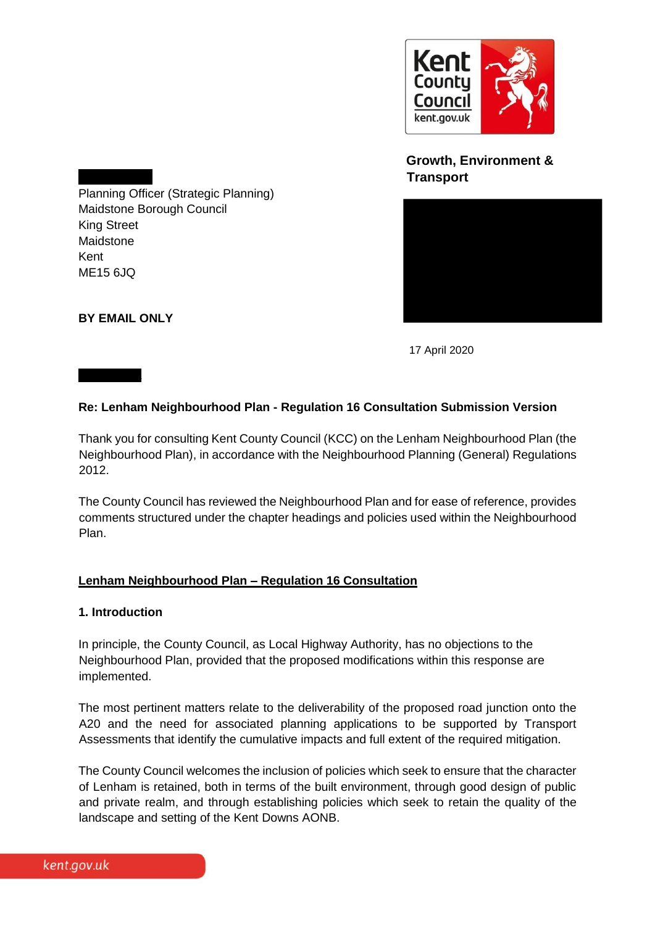

# **Growth, Environment & Transport**



Planning Officer (Strategic Planning) Maidstone Borough Council King Street Maidstone Kent ME15 6JQ

**BY EMAIL ONLY** 

Dear Nicola

17 April 2020

### **Re: Lenham Neighbourhood Plan - Regulation 16 Consultation Submission Version**

Thank you for consulting Kent County Council (KCC) on the Lenham Neighbourhood Plan (the Neighbourhood Plan), in accordance with the Neighbourhood Planning (General) Regulations 2012.

The County Council has reviewed the Neighbourhood Plan and for ease of reference, provides comments structured under the chapter headings and policies used within the Neighbourhood Plan.

#### **Lenham Neighbourhood Plan – Regulation 16 Consultation**

#### **1. Introduction**

In principle, the County Council, as Local Highway Authority, has no objections to the Neighbourhood Plan, provided that the proposed modifications within this response are implemented.

The most pertinent matters relate to the deliverability of the proposed road junction onto the A20 and the need for associated planning applications to be supported by Transport Assessments that identify the cumulative impacts and full extent of the required mitigation.

The County Council welcomes the inclusion of policies which seek to ensure that the character of Lenham is retained, both in terms of the built environment, through good design of public and private realm, and through establishing policies which seek to retain the quality of the landscape and setting of the Kent Downs AONB.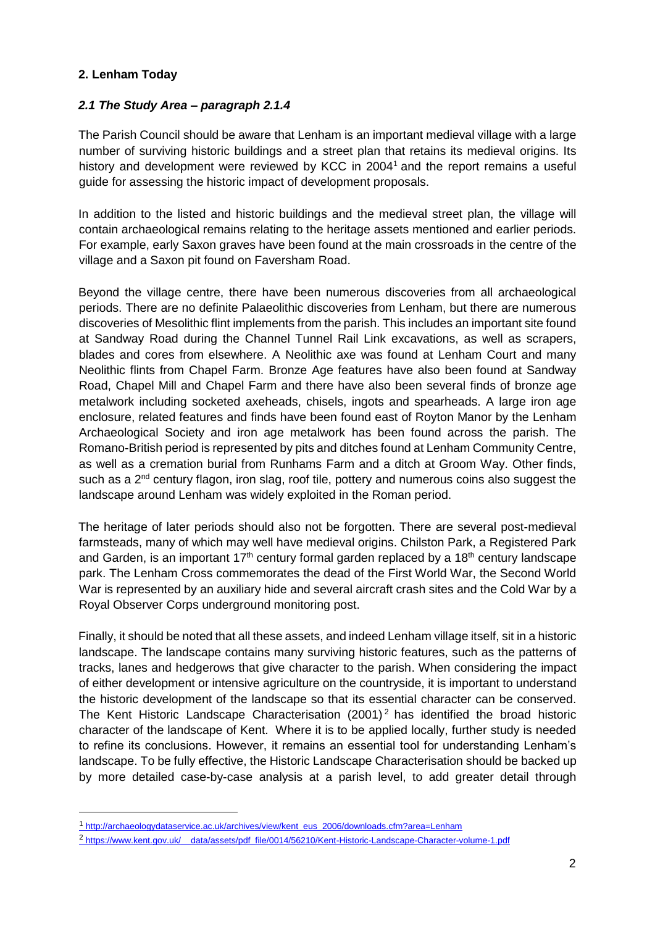## **2. Lenham Today**

-

### *2.1 The Study Area – paragraph 2.1.4*

The Parish Council should be aware that Lenham is an important medieval village with a large number of surviving historic buildings and a street plan that retains its medieval origins. Its history and development were reviewed by KCC in 2004<sup>1</sup> and the report remains a useful guide for assessing the historic impact of development proposals.

In addition to the listed and historic buildings and the medieval street plan, the village will contain archaeological remains relating to the heritage assets mentioned and earlier periods. For example, early Saxon graves have been found at the main crossroads in the centre of the village and a Saxon pit found on Faversham Road.

Beyond the village centre, there have been numerous discoveries from all archaeological periods. There are no definite Palaeolithic discoveries from Lenham, but there are numerous discoveries of Mesolithic flint implements from the parish. This includes an important site found at Sandway Road during the Channel Tunnel Rail Link excavations, as well as scrapers, blades and cores from elsewhere. A Neolithic axe was found at Lenham Court and many Neolithic flints from Chapel Farm. Bronze Age features have also been found at Sandway Road, Chapel Mill and Chapel Farm and there have also been several finds of bronze age metalwork including socketed axeheads, chisels, ingots and spearheads. A large iron age enclosure, related features and finds have been found east of Royton Manor by the Lenham Archaeological Society and iron age metalwork has been found across the parish. The Romano-British period is represented by pits and ditches found at Lenham Community Centre, as well as a cremation burial from Runhams Farm and a ditch at Groom Way. Other finds, such as a 2<sup>nd</sup> century flagon, iron slag, roof tile, pottery and numerous coins also suggest the landscape around Lenham was widely exploited in the Roman period.

The heritage of later periods should also not be forgotten. There are several post-medieval farmsteads, many of which may well have medieval origins. Chilston Park, a Registered Park and Garden, is an important  $17<sup>th</sup>$  century formal garden replaced by a  $18<sup>th</sup>$  century landscape park. The Lenham Cross commemorates the dead of the First World War, the Second World War is represented by an auxiliary hide and several aircraft crash sites and the Cold War by a Royal Observer Corps underground monitoring post.

Finally, it should be noted that all these assets, and indeed Lenham village itself, sit in a historic landscape. The landscape contains many surviving historic features, such as the patterns of tracks, lanes and hedgerows that give character to the parish. When considering the impact of either development or intensive agriculture on the countryside, it is important to understand the historic development of the landscape so that its essential character can be conserved. The Kent Historic Landscape Characterisation (2001)<sup>2</sup> has identified the broad historic character of the landscape of Kent. Where it is to be applied locally, further study is needed to refine its conclusions. However, it remains an essential tool for understanding Lenham's landscape. To be fully effective, the Historic Landscape Characterisation should be backed up by more detailed case-by-case analysis at a parish level, to add greater detail through

<sup>1</sup> [http://archaeologydataservice.ac.uk/archives/view/kent\\_eus\\_2006/downloads.cfm?area=Lenham](http://archaeologydataservice.ac.uk/archives/view/kent_eus_2006/downloads.cfm?area=Lenham)

<sup>2</sup> https://www.kent.gov.uk/ data/assets/pdf\_file/0014/56210/Kent-Historic-Landscape-Character-volume-1.pdf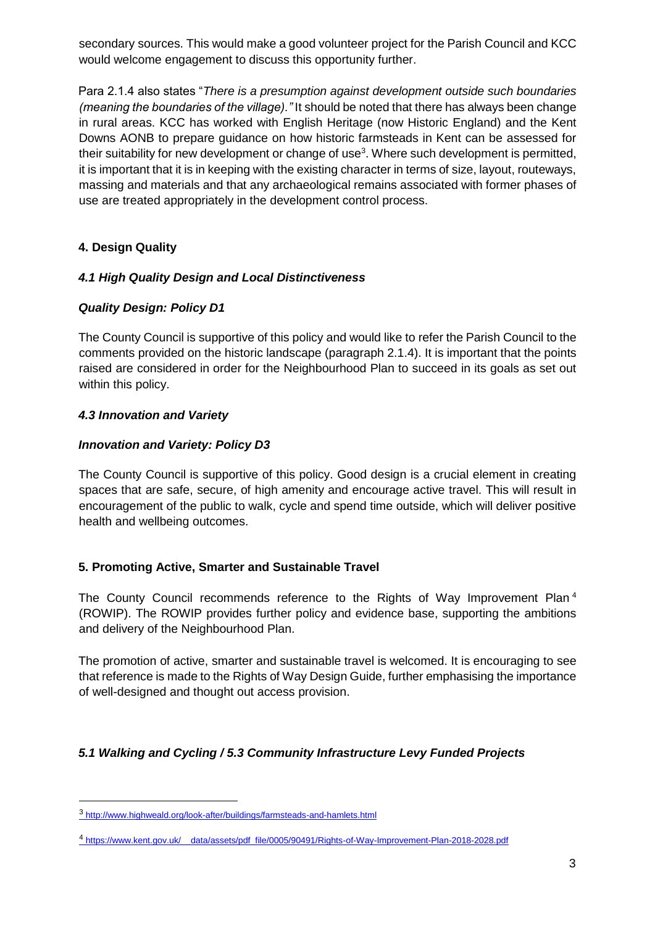secondary sources. This would make a good volunteer project for the Parish Council and KCC would welcome engagement to discuss this opportunity further.

Para 2.1.4 also states "*There is a presumption against development outside such boundaries (meaning the boundaries of the village)."* It should be noted that there has always been change in rural areas. KCC has worked with English Heritage (now Historic England) and the Kent Downs AONB to prepare guidance on how historic farmsteads in Kent can be assessed for their suitability for new development or change of use<sup>3</sup>. Where such development is permitted, it is important that it is in keeping with the existing character in terms of size, layout, routeways, massing and materials and that any archaeological remains associated with former phases of use are treated appropriately in the development control process.

# **4. Design Quality**

## *4.1 High Quality Design and Local Distinctiveness*

## *Quality Design: Policy D1*

The County Council is supportive of this policy and would like to refer the Parish Council to the comments provided on the historic landscape (paragraph 2.1.4). It is important that the points raised are considered in order for the Neighbourhood Plan to succeed in its goals as set out within this policy.

## *4.3 Innovation and Variety*

-

## *Innovation and Variety: Policy D3*

The County Council is supportive of this policy. Good design is a crucial element in creating spaces that are safe, secure, of high amenity and encourage active travel. This will result in encouragement of the public to walk, cycle and spend time outside, which will deliver positive health and wellbeing outcomes.

## **5. Promoting Active, Smarter and Sustainable Travel**

The County Council recommends reference to the Rights of Way Improvement Plan<sup>4</sup> (ROWIP). The ROWIP provides further policy and evidence base, supporting the ambitions and delivery of the Neighbourhood Plan.

The promotion of active, smarter and sustainable travel is welcomed. It is encouraging to see that reference is made to the Rights of Way Design Guide, further emphasising the importance of well-designed and thought out access provision.

# *5.1 Walking and Cycling / 5.3 Community Infrastructure Levy Funded Projects*

<sup>3</sup> <http://www.highweald.org/look-after/buildings/farmsteads-and-hamlets.html>

<sup>4</sup> [https://www.kent.gov.uk/\\_\\_data/assets/pdf\\_file/0005/90491/Rights-of-Way-Improvement-Plan-2018-2028.pdf](https://www.kent.gov.uk/__data/assets/pdf_file/0005/90491/Rights-of-Way-Improvement-Plan-2018-2028.pdf)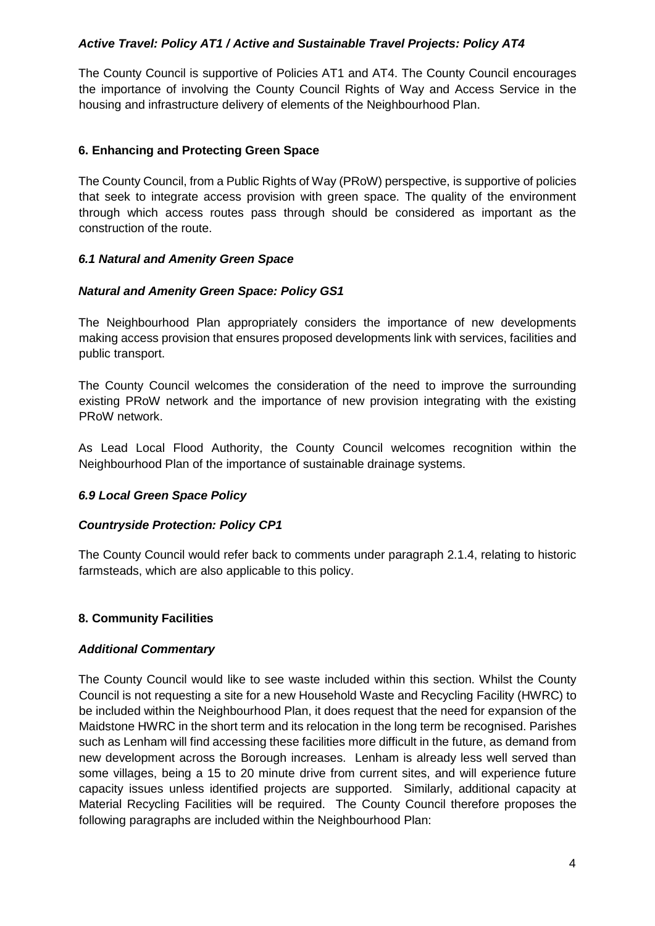### *Active Travel: Policy AT1 / Active and Sustainable Travel Projects: Policy AT4*

The County Council is supportive of Policies AT1 and AT4. The County Council encourages the importance of involving the County Council Rights of Way and Access Service in the housing and infrastructure delivery of elements of the Neighbourhood Plan.

### **6. Enhancing and Protecting Green Space**

The County Council, from a Public Rights of Way (PRoW) perspective, is supportive of policies that seek to integrate access provision with green space. The quality of the environment through which access routes pass through should be considered as important as the construction of the route.

### *6.1 Natural and Amenity Green Space*

### *Natural and Amenity Green Space: Policy GS1*

The Neighbourhood Plan appropriately considers the importance of new developments making access provision that ensures proposed developments link with services, facilities and public transport.

The County Council welcomes the consideration of the need to improve the surrounding existing PRoW network and the importance of new provision integrating with the existing PRoW network.

As Lead Local Flood Authority, the County Council welcomes recognition within the Neighbourhood Plan of the importance of sustainable drainage systems.

#### *6.9 Local Green Space Policy*

#### *Countryside Protection: Policy CP1*

The County Council would refer back to comments under paragraph 2.1.4, relating to historic farmsteads, which are also applicable to this policy.

#### **8. Community Facilities**

#### *Additional Commentary*

The County Council would like to see waste included within this section. Whilst the County Council is not requesting a site for a new Household Waste and Recycling Facility (HWRC) to be included within the Neighbourhood Plan, it does request that the need for expansion of the Maidstone HWRC in the short term and its relocation in the long term be recognised. Parishes such as Lenham will find accessing these facilities more difficult in the future, as demand from new development across the Borough increases. Lenham is already less well served than some villages, being a 15 to 20 minute drive from current sites, and will experience future capacity issues unless identified projects are supported. Similarly, additional capacity at Material Recycling Facilities will be required. The County Council therefore proposes the following paragraphs are included within the Neighbourhood Plan: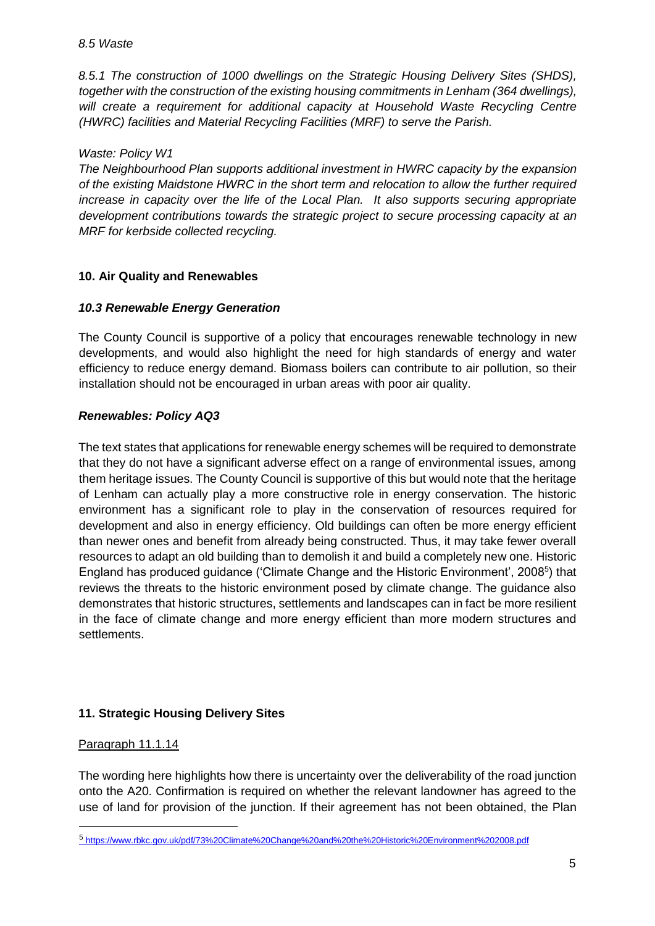*8.5.1 The construction of 1000 dwellings on the Strategic Housing Delivery Sites (SHDS), together with the construction of the existing housing commitments in Lenham (364 dwellings), will create a requirement for additional capacity at Household Waste Recycling Centre (HWRC) facilities and Material Recycling Facilities (MRF) to serve the Parish.* 

#### *Waste: Policy W1*

*The Neighbourhood Plan supports additional investment in HWRC capacity by the expansion of the existing Maidstone HWRC in the short term and relocation to allow the further required increase in capacity over the life of the Local Plan. It also supports securing appropriate development contributions towards the strategic project to secure processing capacity at an MRF for kerbside collected recycling.* 

### **10. Air Quality and Renewables**

### *10.3 Renewable Energy Generation*

The County Council is supportive of a policy that encourages renewable technology in new developments, and would also highlight the need for high standards of energy and water efficiency to reduce energy demand. Biomass boilers can contribute to air pollution, so their installation should not be encouraged in urban areas with poor air quality.

### *Renewables: Policy AQ3*

The text states that applications for renewable energy schemes will be required to demonstrate that they do not have a significant adverse effect on a range of environmental issues, among them heritage issues. The County Council is supportive of this but would note that the heritage of Lenham can actually play a more constructive role in energy conservation. The historic environment has a significant role to play in the conservation of resources required for development and also in energy efficiency. Old buildings can often be more energy efficient than newer ones and benefit from already being constructed. Thus, it may take fewer overall resources to adapt an old building than to demolish it and build a completely new one. Historic England has produced guidance ('Climate Change and the Historic Environment', 2008<sup>5</sup>) that reviews the threats to the historic environment posed by climate change. The guidance also demonstrates that historic structures, settlements and landscapes can in fact be more resilient in the face of climate change and more energy efficient than more modern structures and settlements.

## **11. Strategic Housing Delivery Sites**

#### Paragraph 11.1.14

-

The wording here highlights how there is uncertainty over the deliverability of the road junction onto the A20. Confirmation is required on whether the relevant landowner has agreed to the use of land for provision of the junction. If their agreement has not been obtained, the Plan

<sup>5</sup> <https://www.rbkc.gov.uk/pdf/73%20Climate%20Change%20and%20the%20Historic%20Environment%202008.pdf>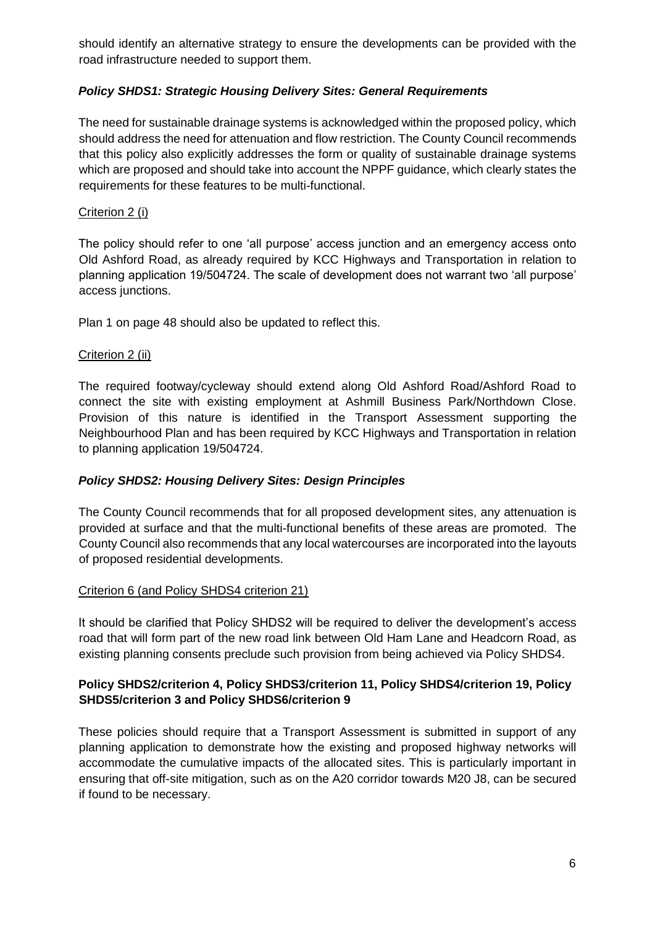should identify an alternative strategy to ensure the developments can be provided with the road infrastructure needed to support them.

## *Policy SHDS1: Strategic Housing Delivery Sites: General Requirements*

The need for sustainable drainage systems is acknowledged within the proposed policy, which should address the need for attenuation and flow restriction. The County Council recommends that this policy also explicitly addresses the form or quality of sustainable drainage systems which are proposed and should take into account the NPPF guidance, which clearly states the requirements for these features to be multi-functional.

### Criterion 2 (i)

The policy should refer to one 'all purpose' access junction and an emergency access onto Old Ashford Road, as already required by KCC Highways and Transportation in relation to planning application 19/504724. The scale of development does not warrant two 'all purpose' access junctions.

Plan 1 on page 48 should also be updated to reflect this.

#### Criterion 2 (ii)

The required footway/cycleway should extend along Old Ashford Road/Ashford Road to connect the site with existing employment at Ashmill Business Park/Northdown Close. Provision of this nature is identified in the Transport Assessment supporting the Neighbourhood Plan and has been required by KCC Highways and Transportation in relation to planning application 19/504724.

## *Policy SHDS2: Housing Delivery Sites: Design Principles*

The County Council recommends that for all proposed development sites, any attenuation is provided at surface and that the multi-functional benefits of these areas are promoted. The County Council also recommends that any local watercourses are incorporated into the layouts of proposed residential developments.

#### Criterion 6 (and Policy SHDS4 criterion 21)

It should be clarified that Policy SHDS2 will be required to deliver the development's access road that will form part of the new road link between Old Ham Lane and Headcorn Road, as existing planning consents preclude such provision from being achieved via Policy SHDS4.

### **Policy SHDS2/criterion 4, Policy SHDS3/criterion 11, Policy SHDS4/criterion 19, Policy SHDS5/criterion 3 and Policy SHDS6/criterion 9**

These policies should require that a Transport Assessment is submitted in support of any planning application to demonstrate how the existing and proposed highway networks will accommodate the cumulative impacts of the allocated sites. This is particularly important in ensuring that off-site mitigation, such as on the A20 corridor towards M20 J8, can be secured if found to be necessary.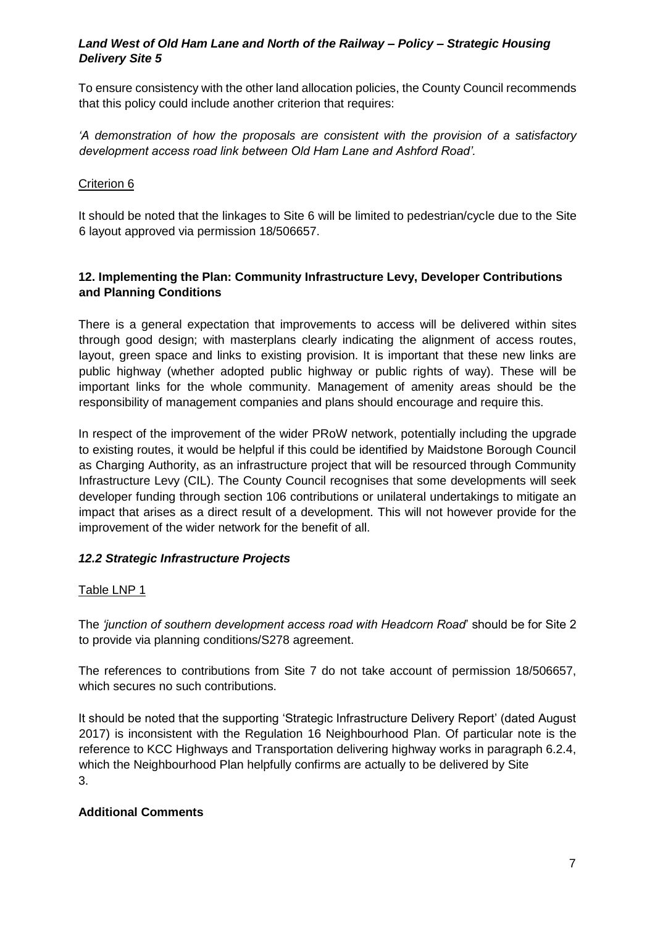### *Land West of Old Ham Lane and North of the Railway – Policy – Strategic Housing Delivery Site 5*

To ensure consistency with the other land allocation policies, the County Council recommends that this policy could include another criterion that requires:

*'A demonstration of how the proposals are consistent with the provision of a satisfactory development access road link between Old Ham Lane and Ashford Road'.* 

## Criterion 6

It should be noted that the linkages to Site 6 will be limited to pedestrian/cycle due to the Site 6 layout approved via permission 18/506657.

## **12. Implementing the Plan: Community Infrastructure Levy, Developer Contributions and Planning Conditions**

There is a general expectation that improvements to access will be delivered within sites through good design; with masterplans clearly indicating the alignment of access routes, layout, green space and links to existing provision. It is important that these new links are public highway (whether adopted public highway or public rights of way). These will be important links for the whole community. Management of amenity areas should be the responsibility of management companies and plans should encourage and require this.

In respect of the improvement of the wider PRoW network, potentially including the upgrade to existing routes, it would be helpful if this could be identified by Maidstone Borough Council as Charging Authority, as an infrastructure project that will be resourced through Community Infrastructure Levy (CIL). The County Council recognises that some developments will seek developer funding through section 106 contributions or unilateral undertakings to mitigate an impact that arises as a direct result of a development. This will not however provide for the improvement of the wider network for the benefit of all.

## *12.2 Strategic Infrastructure Projects*

#### Table LNP 1

The *'junction of southern development access road with Headcorn Road*' should be for Site 2 to provide via planning conditions/S278 agreement.

The references to contributions from Site 7 do not take account of permission 18/506657, which secures no such contributions.

It should be noted that the supporting 'Strategic Infrastructure Delivery Report' (dated August 2017) is inconsistent with the Regulation 16 Neighbourhood Plan. Of particular note is the reference to KCC Highways and Transportation delivering highway works in paragraph 6.2.4, which the Neighbourhood Plan helpfully confirms are actually to be delivered by Site 3.

#### **Additional Comments**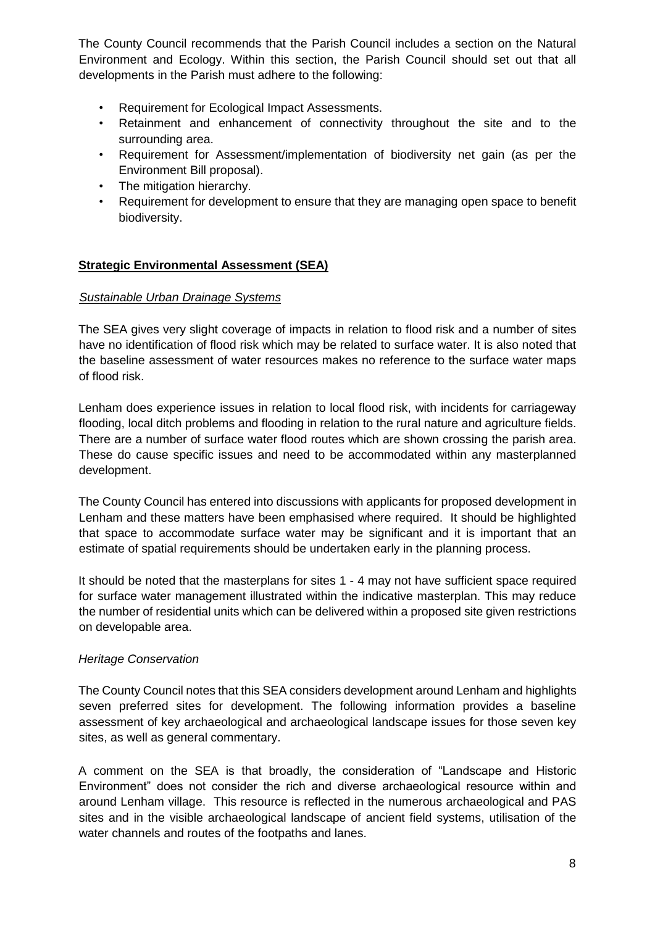The County Council recommends that the Parish Council includes a section on the Natural Environment and Ecology. Within this section, the Parish Council should set out that all developments in the Parish must adhere to the following:

- Requirement for Ecological Impact Assessments.
- Retainment and enhancement of connectivity throughout the site and to the surrounding area.
- Requirement for Assessment/implementation of biodiversity net gain (as per the Environment Bill proposal).
- The mitigation hierarchy.
- Requirement for development to ensure that they are managing open space to benefit biodiversity.

## **Strategic Environmental Assessment (SEA)**

### *Sustainable Urban Drainage Systems*

The SEA gives very slight coverage of impacts in relation to flood risk and a number of sites have no identification of flood risk which may be related to surface water. It is also noted that the baseline assessment of water resources makes no reference to the surface water maps of flood risk.

Lenham does experience issues in relation to local flood risk, with incidents for carriageway flooding, local ditch problems and flooding in relation to the rural nature and agriculture fields. There are a number of surface water flood routes which are shown crossing the parish area. These do cause specific issues and need to be accommodated within any masterplanned development.

The County Council has entered into discussions with applicants for proposed development in Lenham and these matters have been emphasised where required. It should be highlighted that space to accommodate surface water may be significant and it is important that an estimate of spatial requirements should be undertaken early in the planning process.

It should be noted that the masterplans for sites 1 - 4 may not have sufficient space required for surface water management illustrated within the indicative masterplan. This may reduce the number of residential units which can be delivered within a proposed site given restrictions on developable area.

## *Heritage Conservation*

The County Council notes that this SEA considers development around Lenham and highlights seven preferred sites for development. The following information provides a baseline assessment of key archaeological and archaeological landscape issues for those seven key sites, as well as general commentary.

A comment on the SEA is that broadly, the consideration of "Landscape and Historic Environment" does not consider the rich and diverse archaeological resource within and around Lenham village. This resource is reflected in the numerous archaeological and PAS sites and in the visible archaeological landscape of ancient field systems, utilisation of the water channels and routes of the footpaths and lanes.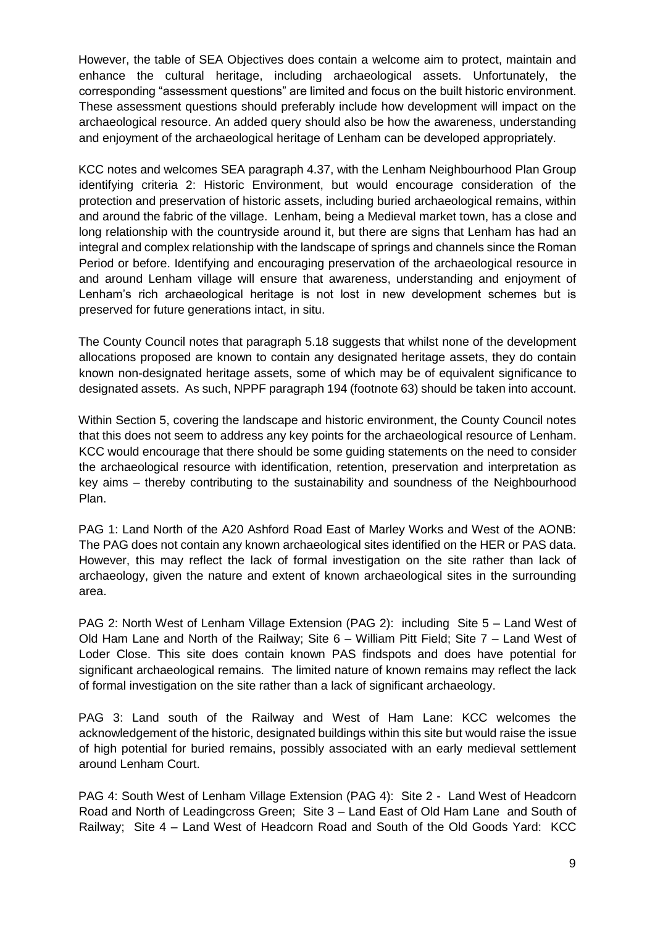However, the table of SEA Objectives does contain a welcome aim to protect, maintain and enhance the cultural heritage, including archaeological assets. Unfortunately, the corresponding "assessment questions" are limited and focus on the built historic environment. These assessment questions should preferably include how development will impact on the archaeological resource. An added query should also be how the awareness, understanding and enjoyment of the archaeological heritage of Lenham can be developed appropriately.

KCC notes and welcomes SEA paragraph 4.37, with the Lenham Neighbourhood Plan Group identifying criteria 2: Historic Environment, but would encourage consideration of the protection and preservation of historic assets, including buried archaeological remains, within and around the fabric of the village. Lenham, being a Medieval market town, has a close and long relationship with the countryside around it, but there are signs that Lenham has had an integral and complex relationship with the landscape of springs and channels since the Roman Period or before. Identifying and encouraging preservation of the archaeological resource in and around Lenham village will ensure that awareness, understanding and enjoyment of Lenham's rich archaeological heritage is not lost in new development schemes but is preserved for future generations intact, in situ.

The County Council notes that paragraph 5.18 suggests that whilst none of the development allocations proposed are known to contain any designated heritage assets, they do contain known non-designated heritage assets, some of which may be of equivalent significance to designated assets. As such, NPPF paragraph 194 (footnote 63) should be taken into account.

Within Section 5, covering the landscape and historic environment, the County Council notes that this does not seem to address any key points for the archaeological resource of Lenham. KCC would encourage that there should be some guiding statements on the need to consider the archaeological resource with identification, retention, preservation and interpretation as key aims – thereby contributing to the sustainability and soundness of the Neighbourhood Plan.

PAG 1: Land North of the A20 Ashford Road East of Marley Works and West of the AONB: The PAG does not contain any known archaeological sites identified on the HER or PAS data. However, this may reflect the lack of formal investigation on the site rather than lack of archaeology, given the nature and extent of known archaeological sites in the surrounding area.

PAG 2: North West of Lenham Village Extension (PAG 2): including Site 5 – Land West of Old Ham Lane and North of the Railway; Site 6 – William Pitt Field; Site 7 – Land West of Loder Close. This site does contain known PAS findspots and does have potential for significant archaeological remains. The limited nature of known remains may reflect the lack of formal investigation on the site rather than a lack of significant archaeology.

PAG 3: Land south of the Railway and West of Ham Lane: KCC welcomes the acknowledgement of the historic, designated buildings within this site but would raise the issue of high potential for buried remains, possibly associated with an early medieval settlement around Lenham Court.

PAG 4: South West of Lenham Village Extension (PAG 4): Site 2 - Land West of Headcorn Road and North of Leadingcross Green; Site 3 – Land East of Old Ham Lane and South of Railway; Site 4 – Land West of Headcorn Road and South of the Old Goods Yard: KCC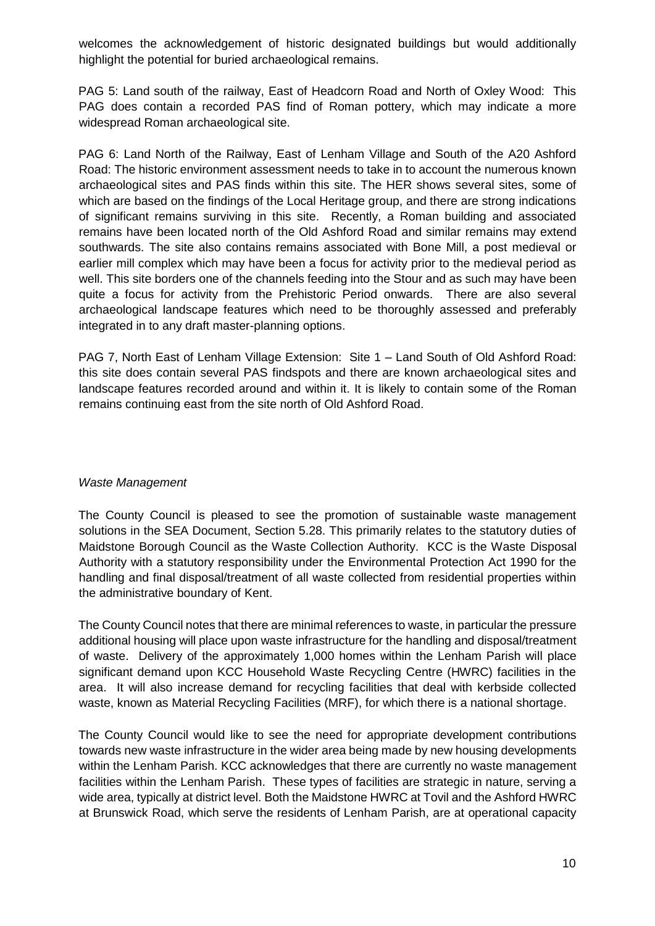welcomes the acknowledgement of historic designated buildings but would additionally highlight the potential for buried archaeological remains.

PAG 5: Land south of the railway, East of Headcorn Road and North of Oxley Wood: This PAG does contain a recorded PAS find of Roman pottery, which may indicate a more widespread Roman archaeological site.

PAG 6: Land North of the Railway, East of Lenham Village and South of the A20 Ashford Road: The historic environment assessment needs to take in to account the numerous known archaeological sites and PAS finds within this site. The HER shows several sites, some of which are based on the findings of the Local Heritage group, and there are strong indications of significant remains surviving in this site. Recently, a Roman building and associated remains have been located north of the Old Ashford Road and similar remains may extend southwards. The site also contains remains associated with Bone Mill, a post medieval or earlier mill complex which may have been a focus for activity prior to the medieval period as well. This site borders one of the channels feeding into the Stour and as such may have been quite a focus for activity from the Prehistoric Period onwards. There are also several archaeological landscape features which need to be thoroughly assessed and preferably integrated in to any draft master-planning options.

PAG 7, North East of Lenham Village Extension: Site 1 – Land South of Old Ashford Road: this site does contain several PAS findspots and there are known archaeological sites and landscape features recorded around and within it. It is likely to contain some of the Roman remains continuing east from the site north of Old Ashford Road.

## *Waste Management*

The County Council is pleased to see the promotion of sustainable waste management solutions in the SEA Document, Section 5.28. This primarily relates to the statutory duties of Maidstone Borough Council as the Waste Collection Authority. KCC is the Waste Disposal Authority with a statutory responsibility under the Environmental Protection Act 1990 for the handling and final disposal/treatment of all waste collected from residential properties within the administrative boundary of Kent.

The County Council notes that there are minimal references to waste, in particular the pressure additional housing will place upon waste infrastructure for the handling and disposal/treatment of waste. Delivery of the approximately 1,000 homes within the Lenham Parish will place significant demand upon KCC Household Waste Recycling Centre (HWRC) facilities in the area. It will also increase demand for recycling facilities that deal with kerbside collected waste, known as Material Recycling Facilities (MRF), for which there is a national shortage.

The County Council would like to see the need for appropriate development contributions towards new waste infrastructure in the wider area being made by new housing developments within the Lenham Parish. KCC acknowledges that there are currently no waste management facilities within the Lenham Parish. These types of facilities are strategic in nature, serving a wide area, typically at district level. Both the Maidstone HWRC at Tovil and the Ashford HWRC at Brunswick Road, which serve the residents of Lenham Parish, are at operational capacity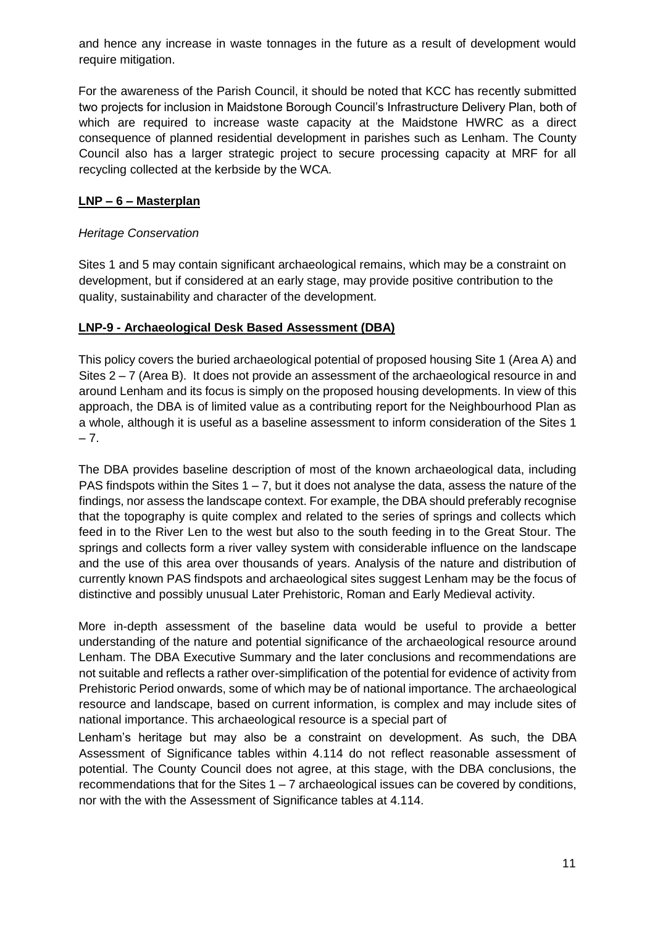and hence any increase in waste tonnages in the future as a result of development would require mitigation.

For the awareness of the Parish Council, it should be noted that KCC has recently submitted two projects for inclusion in Maidstone Borough Council's Infrastructure Delivery Plan, both of which are required to increase waste capacity at the Maidstone HWRC as a direct consequence of planned residential development in parishes such as Lenham. The County Council also has a larger strategic project to secure processing capacity at MRF for all recycling collected at the kerbside by the WCA.

## **LNP – 6 – Masterplan**

### *Heritage Conservation*

Sites 1 and 5 may contain significant archaeological remains, which may be a constraint on development, but if considered at an early stage, may provide positive contribution to the quality, sustainability and character of the development.

### **LNP-9 - Archaeological Desk Based Assessment (DBA)**

This policy covers the buried archaeological potential of proposed housing Site 1 (Area A) and Sites 2 – 7 (Area B). It does not provide an assessment of the archaeological resource in and around Lenham and its focus is simply on the proposed housing developments. In view of this approach, the DBA is of limited value as a contributing report for the Neighbourhood Plan as a whole, although it is useful as a baseline assessment to inform consideration of the Sites 1  $-7.$ 

The DBA provides baseline description of most of the known archaeological data, including PAS findspots within the Sites  $1 - 7$ , but it does not analyse the data, assess the nature of the findings, nor assess the landscape context. For example, the DBA should preferably recognise that the topography is quite complex and related to the series of springs and collects which feed in to the River Len to the west but also to the south feeding in to the Great Stour. The springs and collects form a river valley system with considerable influence on the landscape and the use of this area over thousands of years. Analysis of the nature and distribution of currently known PAS findspots and archaeological sites suggest Lenham may be the focus of distinctive and possibly unusual Later Prehistoric, Roman and Early Medieval activity.

More in-depth assessment of the baseline data would be useful to provide a better understanding of the nature and potential significance of the archaeological resource around Lenham. The DBA Executive Summary and the later conclusions and recommendations are not suitable and reflects a rather over-simplification of the potential for evidence of activity from Prehistoric Period onwards, some of which may be of national importance. The archaeological resource and landscape, based on current information, is complex and may include sites of national importance. This archaeological resource is a special part of

Lenham's heritage but may also be a constraint on development. As such, the DBA Assessment of Significance tables within 4.114 do not reflect reasonable assessment of potential. The County Council does not agree, at this stage, with the DBA conclusions, the recommendations that for the Sites 1 – 7 archaeological issues can be covered by conditions, nor with the with the Assessment of Significance tables at 4.114.